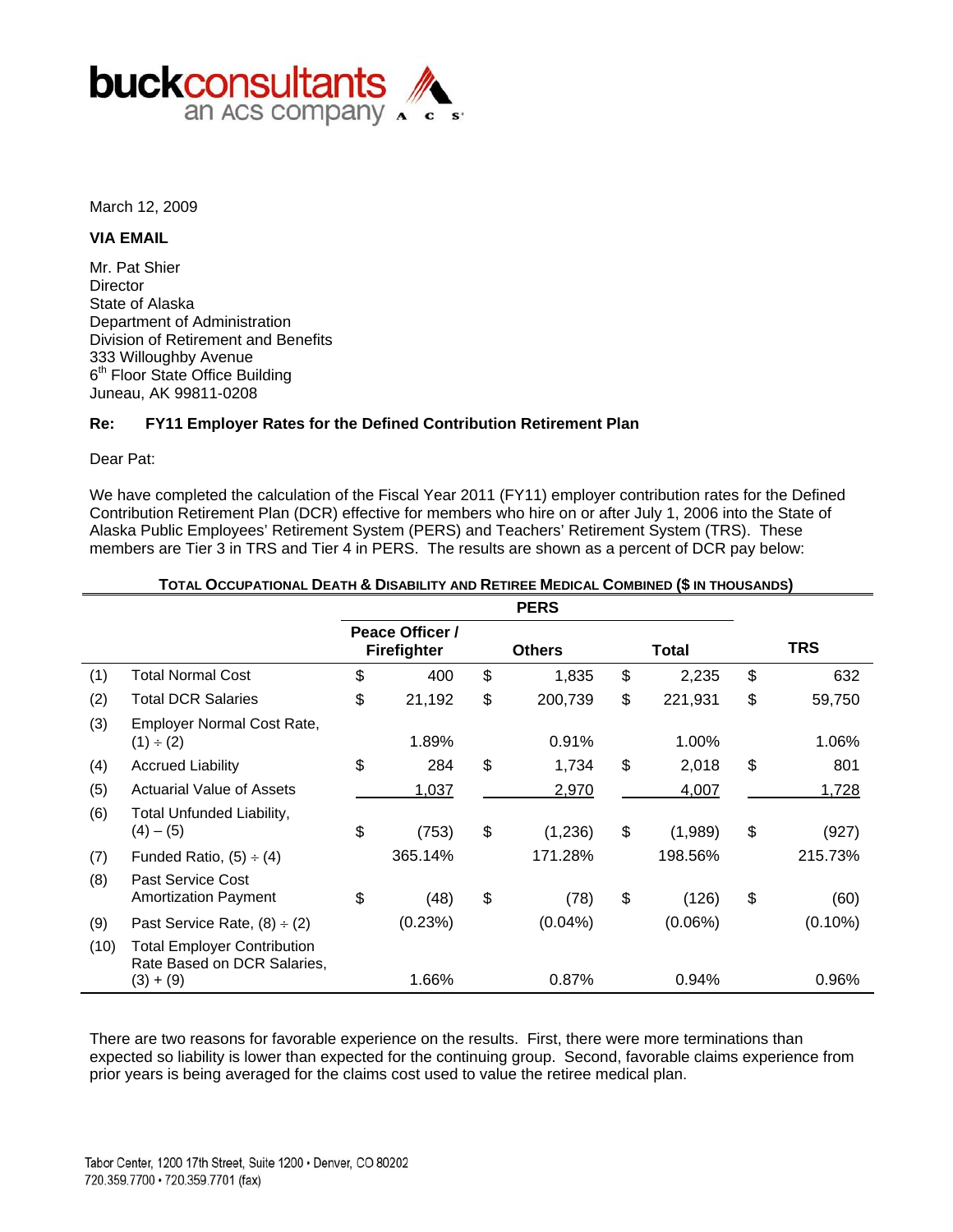

March 12, 2009

### **VIA EMAIL**

Mr. Pat Shier **Director** State of Alaska Department of Administration Division of Retirement and Benefits 333 Willoughby Avenue 6<sup>th</sup> Floor State Office Building Juneau, AK 99811-0208

### **Re: FY11 Employer Rates for the Defined Contribution Retirement Plan**

Dear Pat:

We have completed the calculation of the Fiscal Year 2011 (FY11) employer contribution rates for the Defined Contribution Retirement Plan (DCR) effective for members who hire on or after July 1, 2006 into the State of Alaska Public Employees' Retirement System (PERS) and Teachers' Retirement System (TRS). These members are Tier 3 in TRS and Tier 4 in PERS. The results are shown as a percent of DCR pay below:

|      |                                                                                  |                                       | <b>PERS</b>   |               |              |
|------|----------------------------------------------------------------------------------|---------------------------------------|---------------|---------------|--------------|
|      |                                                                                  | Peace Officer /<br><b>Firefighter</b> | <b>Others</b> | <b>Total</b>  | <b>TRS</b>   |
| (1)  | <b>Total Normal Cost</b>                                                         | \$<br>400                             | \$<br>1,835   | \$<br>2,235   | \$<br>632    |
| (2)  | <b>Total DCR Salaries</b>                                                        | \$<br>21,192                          | \$<br>200,739 | \$<br>221,931 | \$<br>59,750 |
| (3)  | Employer Normal Cost Rate,<br>$(1) \div (2)$                                     | 1.89%                                 | 0.91%         | 1.00%         | 1.06%        |
| (4)  | <b>Accrued Liability</b>                                                         | \$<br>284                             | \$<br>1,734   | \$<br>2,018   | \$<br>801    |
| (5)  | <b>Actuarial Value of Assets</b>                                                 | 1,037                                 | 2,970         | 4,007         | 1,728        |
| (6)  | Total Unfunded Liability,<br>$(4) - (5)$                                         | \$<br>(753)                           | \$<br>(1,236) | \$<br>(1,989) | \$<br>(927)  |
| (7)  | Funded Ratio, $(5) \div (4)$                                                     | 365.14%                               | 171.28%       | 198.56%       | 215.73%      |
| (8)  | Past Service Cost<br><b>Amortization Payment</b>                                 | \$<br>(48)                            | \$<br>(78)    | \$<br>(126)   | \$<br>(60)   |
| (9)  | Past Service Rate, $(8) \div (2)$                                                | (0.23%)                               | $(0.04\%)$    | (0.06%)       | $(0.10\%)$   |
| (10) | <b>Total Employer Contribution</b><br>Rate Based on DCR Salaries,<br>$(3) + (9)$ | 1.66%                                 | 0.87%         | 0.94%         | 0.96%        |

### **TOTAL OCCUPATIONAL DEATH & DISABILITY AND RETIREE MEDICAL COMBINED (\$ IN THOUSANDS)**

There are two reasons for favorable experience on the results. First, there were more terminations than expected so liability is lower than expected for the continuing group. Second, favorable claims experience from prior years is being averaged for the claims cost used to value the retiree medical plan.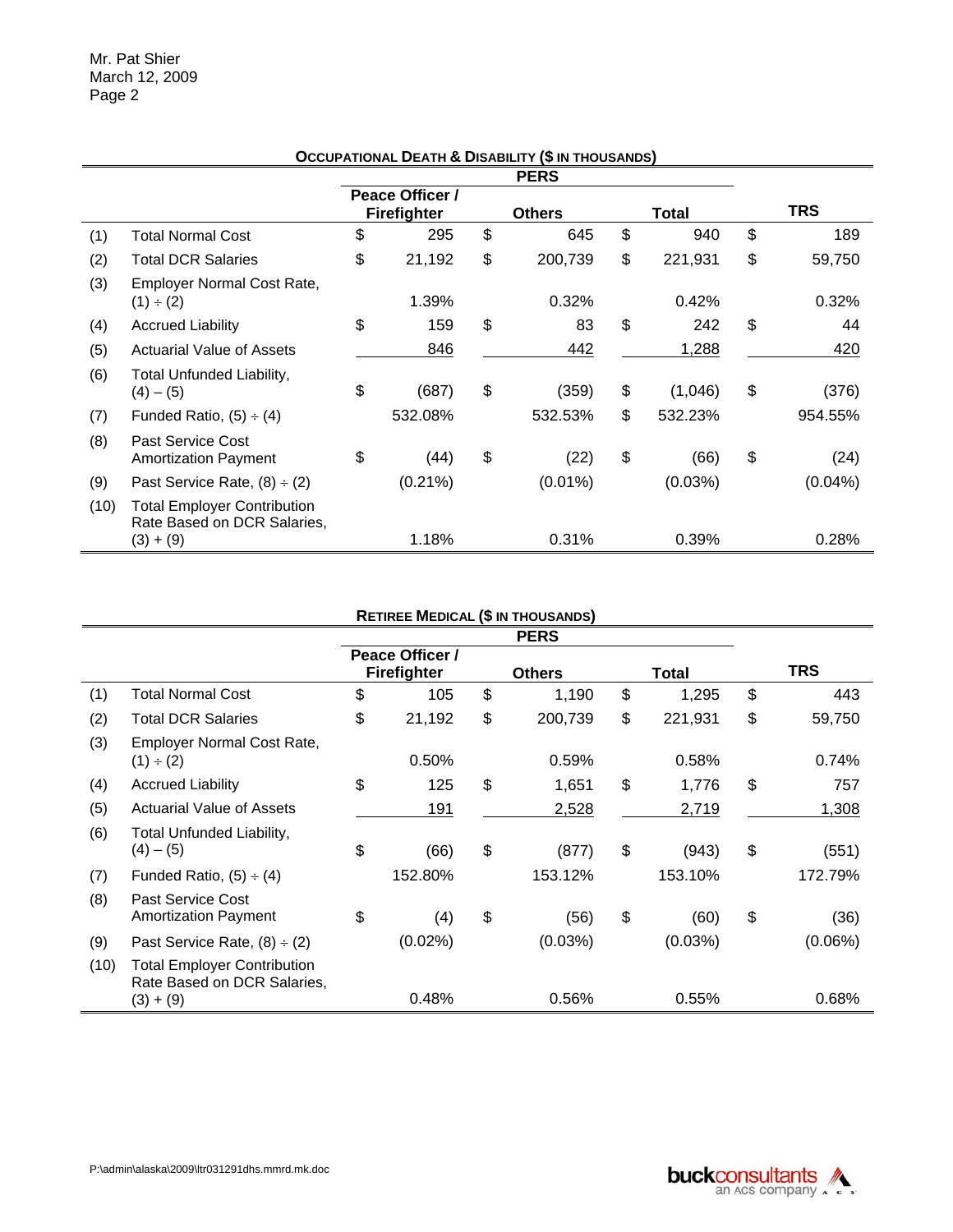|      |                                                                                  |                                       | OCCUPATIONAL DEATH & DISABILITY (\$ IN THOUSANDS) |               |              |
|------|----------------------------------------------------------------------------------|---------------------------------------|---------------------------------------------------|---------------|--------------|
|      |                                                                                  |                                       | <b>PERS</b>                                       |               |              |
|      |                                                                                  | Peace Officer /<br><b>Firefighter</b> | <b>Others</b>                                     | <b>Total</b>  | <b>TRS</b>   |
| (1)  | <b>Total Normal Cost</b>                                                         | \$<br>295                             | \$<br>645                                         | \$<br>940     | \$<br>189    |
| (2)  | <b>Total DCR Salaries</b>                                                        | \$<br>21,192                          | \$<br>200,739                                     | \$<br>221,931 | \$<br>59,750 |
| (3)  | Employer Normal Cost Rate,<br>(1) ÷ (2)                                          | 1.39%                                 | 0.32%                                             | 0.42%         | 0.32%        |
| (4)  | <b>Accrued Liability</b>                                                         | \$<br>159                             | \$<br>83                                          | \$<br>242     | \$<br>44     |
| (5)  | <b>Actuarial Value of Assets</b>                                                 | 846                                   | 442                                               | 1,288         | 420          |
| (6)  | Total Unfunded Liability,<br>$(4) - (5)$                                         | \$<br>(687)                           | \$<br>(359)                                       | \$<br>(1,046) | \$<br>(376)  |
| (7)  | Funded Ratio, $(5) \div (4)$                                                     | 532.08%                               | 532.53%                                           | \$<br>532.23% | 954.55%      |
| (8)  | Past Service Cost<br><b>Amortization Payment</b>                                 | \$<br>(44)                            | \$<br>(22)                                        | \$<br>(66)    | \$<br>(24)   |
| (9)  | Past Service Rate, $(8) \div (2)$                                                | $(0.21\%)$                            | $(0.01\%)$                                        | (0.03%)       | $(0.04\%)$   |
| (10) | <b>Total Employer Contribution</b><br>Rate Based on DCR Salaries,<br>$(3) + (9)$ | 1.18%                                 | 0.31%                                             | 0.39%         | 0.28%        |

#### **OCCUPATIONAL DEATH & DISABILITY (\$ IN THOUSANDS)**

# **RETIREE MEDICAL (\$ IN THOUSANDS)**

|      |                                                                           |                                       | <b>PERS</b>   |               |              |
|------|---------------------------------------------------------------------------|---------------------------------------|---------------|---------------|--------------|
|      |                                                                           | Peace Officer /<br><b>Firefighter</b> | <b>Others</b> | Total         | <b>TRS</b>   |
| (1)  | <b>Total Normal Cost</b>                                                  | \$<br>105                             | \$<br>1,190   | \$<br>1,295   | \$<br>443    |
| (2)  | <b>Total DCR Salaries</b>                                                 | \$<br>21,192                          | \$<br>200,739 | \$<br>221,931 | \$<br>59,750 |
| (3)  | Employer Normal Cost Rate,<br>$(1) \div (2)$                              | 0.50%                                 | 0.59%         | 0.58%         | 0.74%        |
| (4)  | <b>Accrued Liability</b>                                                  | \$<br>125                             | \$<br>1,651   | \$<br>1,776   | \$<br>757    |
| (5)  | <b>Actuarial Value of Assets</b>                                          | 191                                   | 2,528         | 2,719         | 1,308        |
| (6)  | Total Unfunded Liability,<br>$(4) - (5)$                                  | \$<br>(66)                            | \$<br>(877)   | \$<br>(943)   | \$<br>(551)  |
| (7)  | Funded Ratio, $(5) \div (4)$                                              | 152.80%                               | 153.12%       | 153.10%       | 172.79%      |
| (8)  | Past Service Cost<br><b>Amortization Payment</b>                          | \$<br>(4)                             | \$<br>(56)    | \$<br>(60)    | \$<br>(36)   |
| (9)  | Past Service Rate, $(8) \div (2)$                                         | $(0.02\%)$                            | $(0.03\%)$    | $(0.03\%)$    | $(0.06\%)$   |
| (10) | Total Employer Contribution<br>Rate Based on DCR Salaries,<br>$(3) + (9)$ | 0.48%                                 | 0.56%         | 0.55%         | 0.68%        |

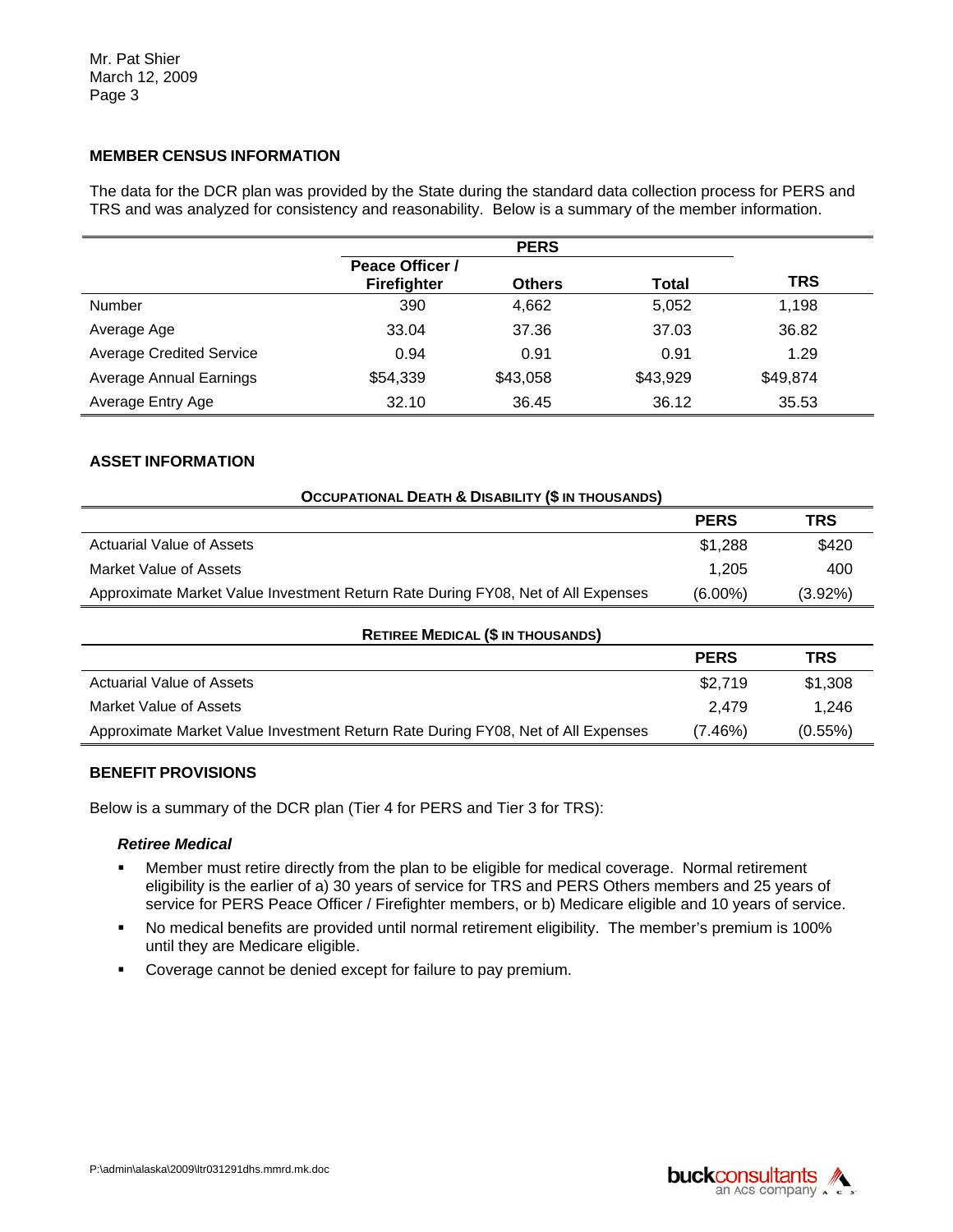# **MEMBER CENSUS INFORMATION**

The data for the DCR plan was provided by the State during the standard data collection process for PERS and TRS and was analyzed for consistency and reasonability. Below is a summary of the member information.

|                                 |                        | <b>PERS</b>   |          |          |  |
|---------------------------------|------------------------|---------------|----------|----------|--|
|                                 | <b>Peace Officer /</b> |               |          |          |  |
|                                 | <b>Firefighter</b>     | <b>Others</b> | Total    | TRS      |  |
| Number                          | 390                    | 4,662         | 5,052    | 1,198    |  |
| Average Age                     | 33.04                  | 37.36         | 37.03    | 36.82    |  |
| <b>Average Credited Service</b> | 0.94                   | 0.91          | 0.91     | 1.29     |  |
| <b>Average Annual Earnings</b>  | \$54,339               | \$43,058      | \$43,929 | \$49,874 |  |
| Average Entry Age               | 32.10                  | 36.45         | 36.12    | 35.53    |  |

# **ASSET INFORMATION**

| <b>OCCUPATIONAL DEATH &amp; DISABILITY (\$ IN THOUSANDS)</b>                     |             |         |
|----------------------------------------------------------------------------------|-------------|---------|
|                                                                                  | <b>PERS</b> | TRS     |
| Actuarial Value of Assets                                                        | \$1,288     | \$420   |
| Market Value of Assets                                                           | 1.205       | 400     |
| Approximate Market Value Investment Return Rate During FY08, Net of All Expenses | $(6.00\%)$  | (3.92%) |

| <b>RETIREE MEDICAL (\$ IN THOUSANDS)</b>                                         |             |            |
|----------------------------------------------------------------------------------|-------------|------------|
|                                                                                  | <b>PERS</b> | TRS        |
| Actuarial Value of Assets                                                        | \$2,719     | \$1,308    |
| Market Value of Assets                                                           | 2.479       | 1.246      |
| Approximate Market Value Investment Return Rate During FY08, Net of All Expenses | $(7.46\%)$  | $(0.55\%)$ |

# **BENEFIT PROVISIONS**

Below is a summary of the DCR plan (Tier 4 for PERS and Tier 3 for TRS):

#### *Retiree Medical*

- **•** Member must retire directly from the plan to be eligible for medical coverage. Normal retirement eligibility is the earlier of a) 30 years of service for TRS and PERS Others members and 25 years of service for PERS Peace Officer / Firefighter members, or b) Medicare eligible and 10 years of service.
- No medical benefits are provided until normal retirement eligibility. The member's premium is 100% until they are Medicare eligible.
- **Coverage cannot be denied except for failure to pay premium.**

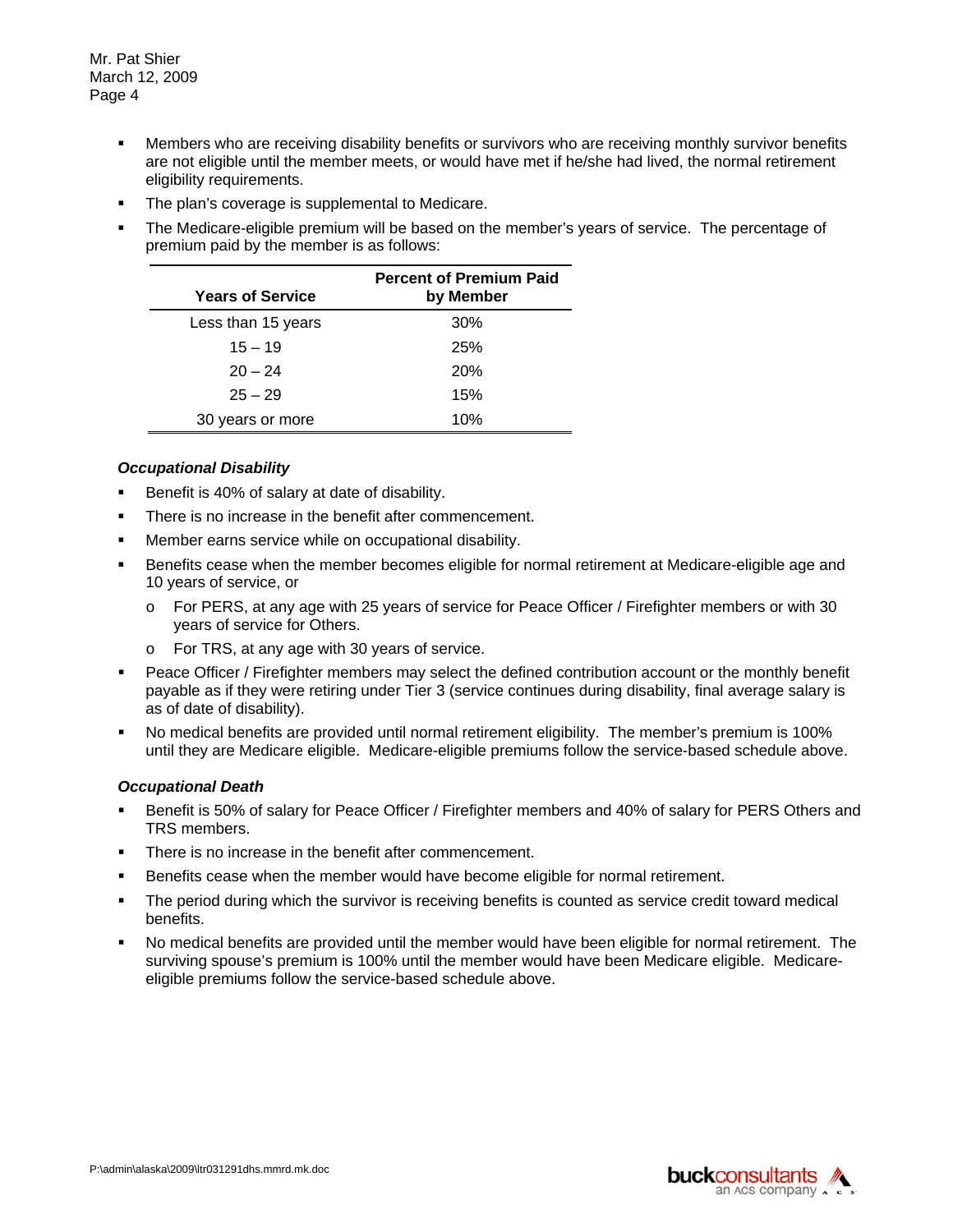- Members who are receiving disability benefits or survivors who are receiving monthly survivor benefits are not eligible until the member meets, or would have met if he/she had lived, the normal retirement eligibility requirements.
- The plan's coverage is supplemental to Medicare.
- The Medicare-eligible premium will be based on the member's years of service. The percentage of premium paid by the member is as follows:

| <b>Years of Service</b> | <b>Percent of Premium Paid</b><br>by Member |
|-------------------------|---------------------------------------------|
| Less than 15 years      | 30%                                         |
| $15 - 19$               | 25%                                         |
| $20 - 24$               | 20%                                         |
| $25 - 29$               | 15%                                         |
| 30 years or more        | 10%                                         |

### *Occupational Disability*

- Benefit is 40% of salary at date of disability.
- **There is no increase in the benefit after commencement.**
- **Member earns service while on occupational disability.**
- 10 years of service, or **Benefits cease when the member becomes eligible for normal retirement at Medicare-eligible age and** 
	- $\circ$  For PERS, at any age with 25 years of service for Peace Officer / Firefighter members or with 30 years of service for Others.
	- o For TRS, at any age with 30 years of service.
- Peace Officer / Firefighter members may select the defined contribution account or the monthly benefit payable as if they were retiring under Tier 3 (service continues during disability, final average salary is as of date of disability).
- No medical benefits are provided until normal retirement eligibility. The member's premium is 100% until they are Medicare eligible. Medicare-eligible premiums follow the service-based schedule above.

# *Occupational Death*

- **Benefit is 50% of salary for Peace Officer / Firefighter members and 40% of salary for PERS Others and** TRS members.
- There is no increase in the benefit after commencement.
- **Benefits cease when the member would have become eligible for normal retirement.**
- The period during which the survivor is receiving benefits is counted as service credit toward medical benefits.
- No medical benefits are provided until the member would have been eligible for normal retirement. The surviving spouse's premium is 100% until the member would have been Medicare eligible. Medicareeligible premiums follow the service-based schedule above.

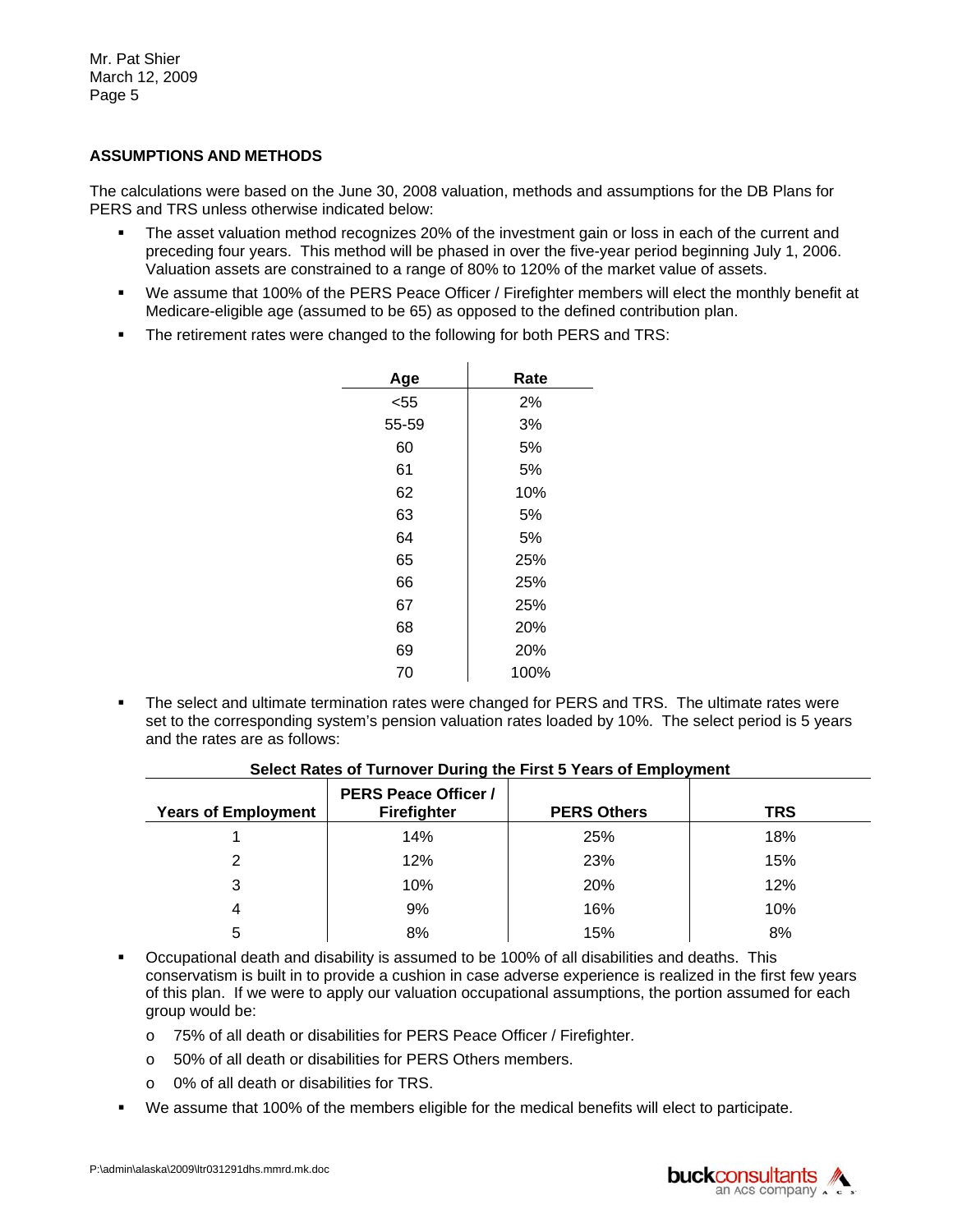Mr. Pat Shier March 12, 2009 Page 5

### **ASSUMPTIONS AND METHODS**

The calculations were based on the June 30, 2008 valuation, methods and assumptions for the DB Plans for PERS and TRS unless otherwise indicated below:

- The asset valuation method recognizes 20% of the investment gain or loss in each of the current and preceding four years. This method will be phased in over the five-year period beginning July 1, 2006. Valuation assets are constrained to a range of 80% to 120% of the market value of assets.
- We assume that 100% of the PERS Peace Officer / Firefighter members will elect the monthly benefit at Medicare-eligible age (assumed to be 65) as opposed to the defined contribution plan.
- The retirement rates were changed to the following for both PERS and TRS:

| Age   | Rate |
|-------|------|
| < 55  | 2%   |
| 55-59 | 3%   |
| 60    | 5%   |
| 61    | 5%   |
| 62    | 10%  |
| 63    | 5%   |
| 64    | 5%   |
| 65    | 25%  |
| 66    | 25%  |
| 67    | 25%  |
| 68    | 20%  |
| 69    | 20%  |
| 70    | 100% |

 $\mathbf{r}$ 

 The select and ultimate termination rates were changed for PERS and TRS. The ultimate rates were set to the corresponding system's pension valuation rates loaded by 10%. The select period is 5 years and the rates are as follows:

| <b>Years of Employment</b> | <b>PERS Peace Officer /</b><br><b>Firefighter</b> | <b>PERS Others</b> | <b>TRS</b> |
|----------------------------|---------------------------------------------------|--------------------|------------|
|                            | 14%                                               | 25%                | 18%        |
| ⌒                          | 12%                                               | 23%                | 15%        |
| 3                          | 10%                                               | 20%                | 12%        |
| 4                          | 9%                                                | 16%                | 10%        |
| 5                          | 8%                                                | 15%                | 8%         |

### **Select Rates of Turnover During the First 5 Years of Employment**

 Occupational death and disability is assumed to be 100% of all disabilities and deaths. This conservatism is built in to provide a cushion in case adverse experience is realized in the first few years of this plan. If we were to apply our valuation occupational assumptions, the portion assumed for each group would be:

- o 75% of all death or disabilities for PERS Peace Officer / Firefighter.
- o 50% of all death or disabilities for PERS Others members.
- $\circ$  0% of all death or disabilities for TRS.
- We assume that 100% of the members eligible for the medical benefits will elect to participate.

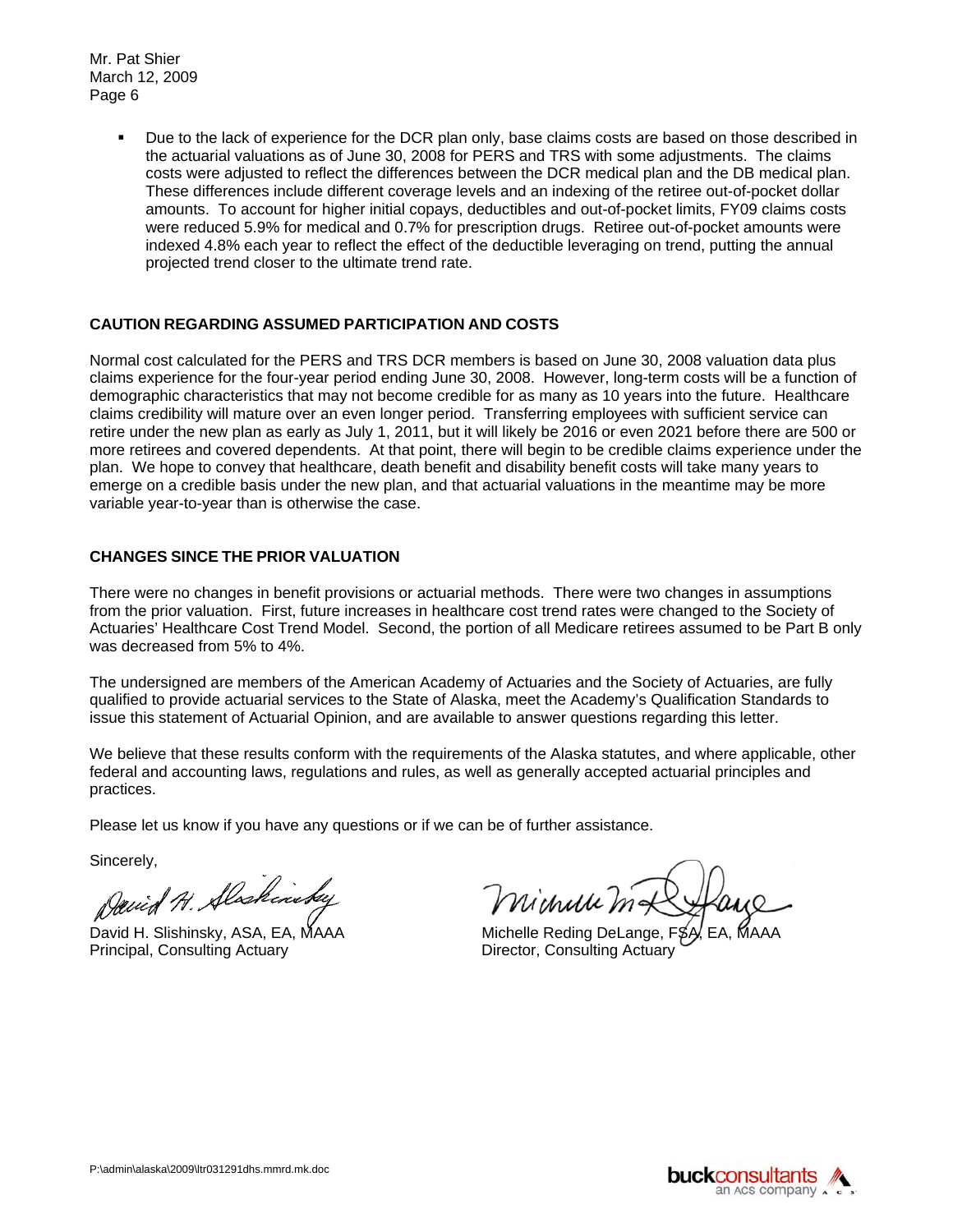Mr. Pat Shier March 12, 2009 Page 6

> **Due to the lack of experience for the DCR plan only, base claims costs are based on those described in** the actuarial valuations as of June 30, 2008 for PERS and TRS with some adjustments. The claims costs were adjusted to reflect the differences between the DCR medical plan and the DB medical plan. These differences include different coverage levels and an indexing of the retiree out-of-pocket dollar amounts. To account for higher initial copays, deductibles and out-of-pocket limits, FY09 claims costs were reduced 5.9% for medical and 0.7% for prescription drugs. Retiree out-of-pocket amounts were indexed 4.8% each year to reflect the effect of the deductible leveraging on trend, putting the annual projected trend closer to the ultimate trend rate.

# **CAUTION REGARDING ASSUMED PARTICIPATION AND COSTS**

Normal cost calculated for the PERS and TRS DCR members is based on June 30, 2008 valuation data plus claims experience for the four-year period ending June 30, 2008. However, long-term costs will be a function of demographic characteristics that may not become credible for as many as 10 years into the future. Healthcare claims credibility will mature over an even longer period. Transferring employees with sufficient service can retire under the new plan as early as July 1, 2011, but it will likely be 2016 or even 2021 before there are 500 or more retirees and covered dependents. At that point, there will begin to be credible claims experience under the plan. We hope to convey that healthcare, death benefit and disability benefit costs will take many years to emerge on a credible basis under the new plan, and that actuarial valuations in the meantime may be more variable year-to-year than is otherwise the case.

# **CHANGES SINCE THE PRIOR VALUATION**

There were no changes in benefit provisions or actuarial methods. There were two changes in assumptions from the prior valuation. First, future increases in healthcare cost trend rates were changed to the Society of Actuaries' Healthcare Cost Trend Model. Second, the portion of all Medicare retirees assumed to be Part B only was decreased from 5% to 4%.

The undersigned are members of the American Academy of Actuaries and the Society of Actuaries, are fully qualified to provide actuarial services to the State of Alaska, meet the Academy's Qualification Standards to issue this statement of Actuarial Opinion, and are available to answer questions regarding this letter.

We believe that these results conform with the requirements of the Alaska statutes, and where applicable, other federal and accounting laws, regulations and rules, as well as generally accepted actuarial principles and practices.

Please let us know if you have any questions or if we can be of further assistance.

Sincerely,

David H. Alschinstey

David H. Slishinsky, ASA, EA, MAAA Michelle Reding DeLange, FSA, Principal, Consulting Actuary Principal, Consulting Actuary

Michaelle mat